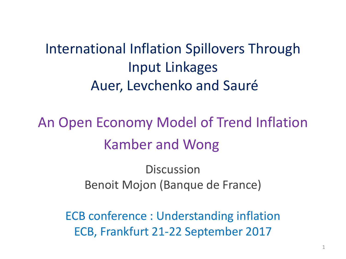#### International Inflation Spillovers Through Input Linkages Auer, Levchenko and Sauré

An Open Economy Model of Trend Inflation Kamber and Wong

> **Discussion** Benoit Mojon (Banque de France)

ECB conference : Understanding inflation ECB, Frankfurt 21-22 September 2017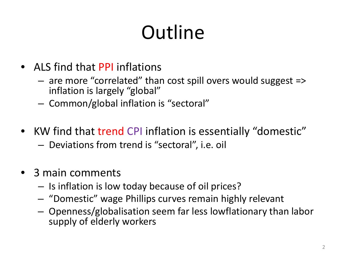# **Outline**

- ALS find that PPI inflations
	- are more "correlated" than cost spill overs would suggest => inflation is largely "global"
	- Common/global inflation is "sectoral"
- KW find that trend CPI inflation is essentially "domestic"
	- Deviations from trend is "sectoral", i.e. oil
- 3 main comments
	- Is inflation is low today because of oil prices?
	- "Domestic" wage Phillips curves remain highly relevant
	- Openness/globalisation seem far less lowflationary than labor supply of elderly workers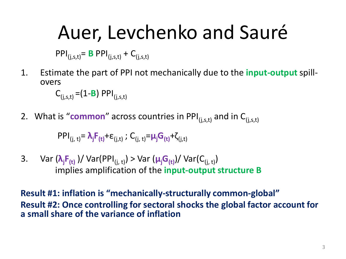## Auer, Levchenko and Sauré

 $PPI_{(j,s,t)} = B PPI_{(j,s,t)} + C_{(j,s,t)}$ 

1. Estimate the part of PPI not mechanically due to the **input-output** spill- overs

 $C_{(i,s,t)} = (1 - B)$  PPI<sub>(i.s.t)</sub>

2. What is "**common**" across countries in PPI $_{(i,s,t)}$  and in  $C_{(i,s,t)}$ 

 $PPI_{(j, t)} = \lambda_j F_{(t)} + \varepsilon_{(j, t)}$ ; C<sub>(j, t)</sub>= $\mu_j G_{(t)} + \zeta_{(j, t)}$ 

3. Var (**λ<sup>j</sup> F(t)** )/ Var(PPI(j, t) ) > Var (**μ<sup>j</sup> G(t)** )/ Var(C(j, t)) implies amplification of the **input-output structure B**

**Result #1: inflation is "mechanically-structurally common-global" Result #2: Once controlling for sectoral shocks the global factor account for a small share of the variance of inflation**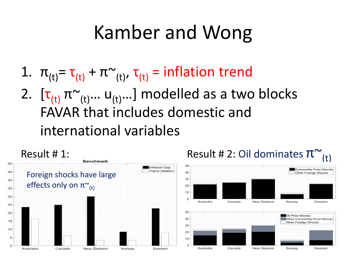## Kamber and Wong

1.  $\pi_{(t)} = \tau_{(t)} + \pi_{(t)}$ ,  $\tau_{(t)} =$  inflation trend 2.  $[\tau_{(t)} \pi_{(t)} ... u_{(t)} ...]$  modelled as a two blocks FAVAR that includes domestic and international variables

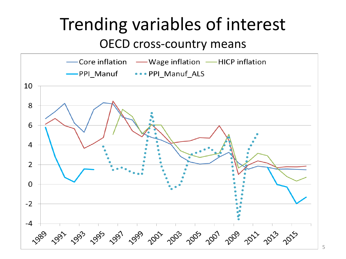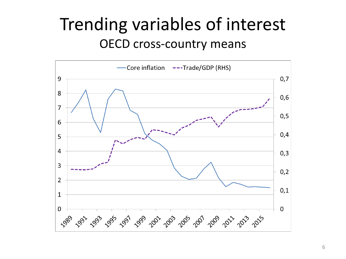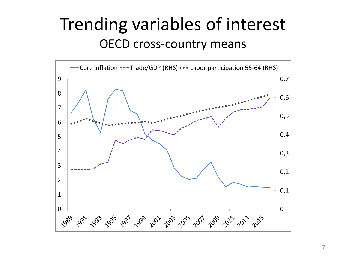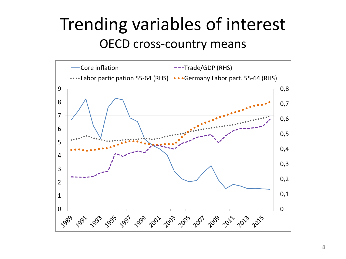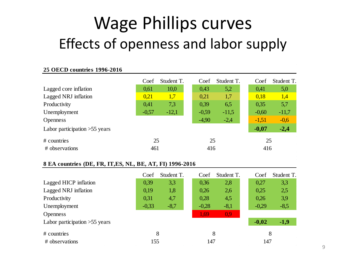### Wage Phillips curves Effects of openness and labor supply

#### **25 OECD countries 1996-2016**

|                                 | Coef    | Student T. | Coef    | Student T. | Coef    | Student T. |  |
|---------------------------------|---------|------------|---------|------------|---------|------------|--|
| Lagged core inflation           | 0,61    | 10,0       | 0,43    | 5,2        | 0,41    | 5,0        |  |
| Lagged NRJ inflation            | 0.21    | 1,7        | 0,21    | 1,7        | 0,18    | 1,4        |  |
| Productivity                    | 0,41    | 7,3        | 0,39    | 6,5        | 0,35    | 5,7        |  |
| Unemployment                    | $-0,57$ | $-12,1$    | $-0,59$ | $-11,5$    | $-0,60$ | $-11,7$    |  |
| <b>Openness</b>                 |         |            | $-4,90$ | $-2,4$     | $-1,51$ | $-0,6$     |  |
| Labor participation $>55$ years |         |            |         |            | $-0,07$ | $-2,4$     |  |
| # countries                     | 25      |            |         | 25         |         | 25         |  |
| # observations                  | 461     |            |         | 416        |         | 416        |  |

#### **8 EA countries (DE, FR, IT,ES, NL, BE, AT, FI) 1996-2016**

|                                 | Coef    | Student T. | Coef    | Student T. | Coef    | Student T. |
|---------------------------------|---------|------------|---------|------------|---------|------------|
| Lagged HICP inflation           | 0,39    | 3,3        | 0,36    | 2,8        | 0,27    | 3,3        |
| Lagged NRJ inflation            | 0,19    | 1,8        | 0,26    | 2,6        | 0,25    | 2,5        |
| Productivity                    | 0,31    | 4,7        | 0,28    | 4,5        | 0,26    | 3,9        |
| Unemployment                    | $-0,33$ | $-8,7$     | $-0,28$ | $-8,1$     | $-0,29$ | $-8,5$     |
| <b>Openness</b>                 |         |            | 1,69    | 0.9        |         |            |
| Labor participation $>55$ years |         |            |         |            | $-0,02$ | $-1,9$     |
| # countries                     | 8       |            | 8       |            | 8       |            |
| # observations                  | 155     |            | 147     |            | 147     |            |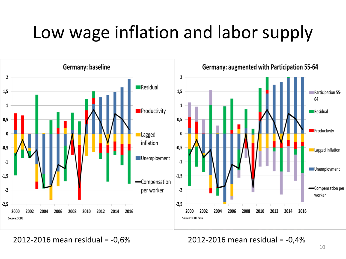## Low wage inflation and labor supply



2012-2016 mean residual = -0,6% 2012-2016 mean residual = -0,4%